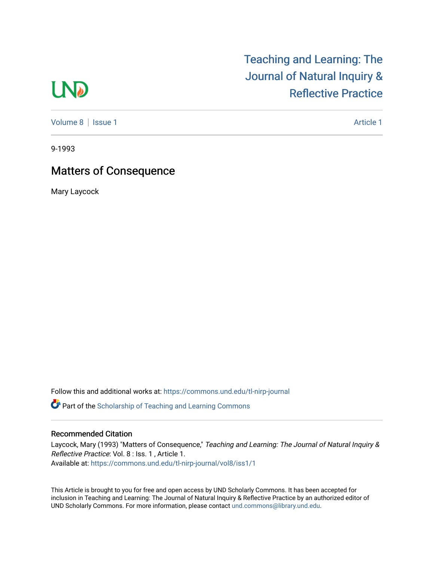# **LND**

[Volume 8](https://commons.und.edu/tl-nirp-journal/vol8) | [Issue 1](https://commons.und.edu/tl-nirp-journal/vol8/iss1) Article 1

## [Teaching and Learning: The](https://commons.und.edu/tl-nirp-journal)  [Journal of Natural Inquiry &](https://commons.und.edu/tl-nirp-journal)  [Reflective Practice](https://commons.und.edu/tl-nirp-journal)

9-1993

## Matters of Consequence

Mary Laycock

Follow this and additional works at: [https://commons.und.edu/tl-nirp-journal](https://commons.und.edu/tl-nirp-journal?utm_source=commons.und.edu%2Ftl-nirp-journal%2Fvol8%2Fiss1%2F1&utm_medium=PDF&utm_campaign=PDFCoverPages) 

**C** Part of the Scholarship of Teaching and Learning Commons

### Recommended Citation

Laycock, Mary (1993) "Matters of Consequence," Teaching and Learning: The Journal of Natural Inquiry & Reflective Practice: Vol. 8 : Iss. 1 , Article 1. Available at: [https://commons.und.edu/tl-nirp-journal/vol8/iss1/1](https://commons.und.edu/tl-nirp-journal/vol8/iss1/1?utm_source=commons.und.edu%2Ftl-nirp-journal%2Fvol8%2Fiss1%2F1&utm_medium=PDF&utm_campaign=PDFCoverPages)

This Article is brought to you for free and open access by UND Scholarly Commons. It has been accepted for inclusion in Teaching and Learning: The Journal of Natural Inquiry & Reflective Practice by an authorized editor of UND Scholarly Commons. For more information, please contact [und.commons@library.und.edu.](mailto:und.commons@library.und.edu)